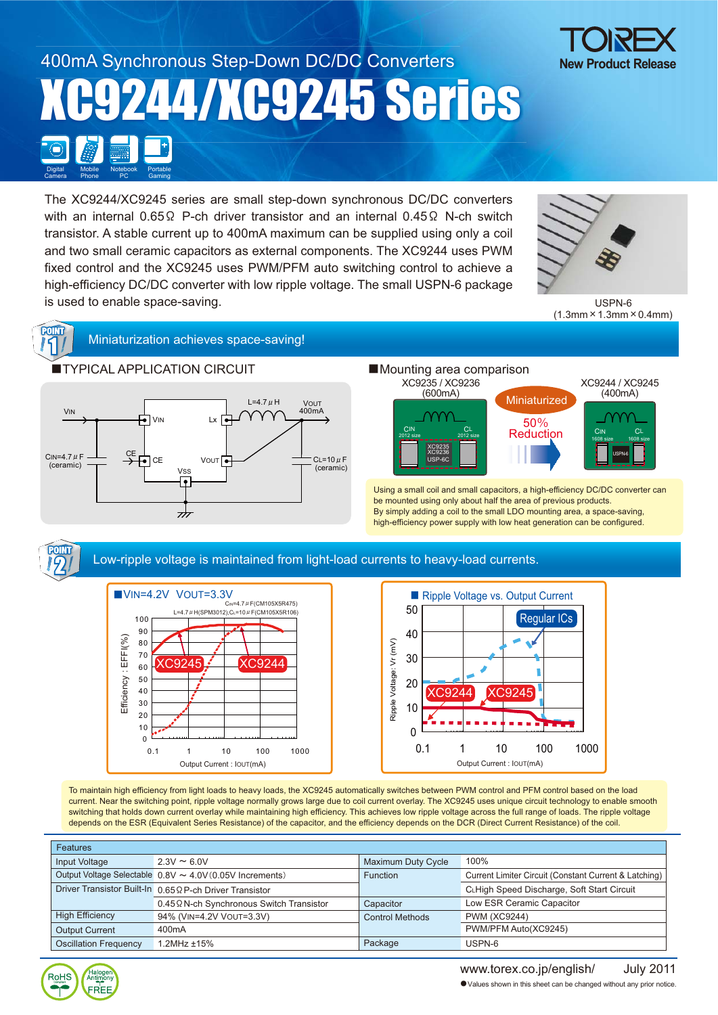#### 400mA Synchronous Step-Down DC/DC Converters XC9244/XC9245 Series Mobile Phone **Digital** Camera Portable Gaming Notebook PC



The XC9244/XC9245 series are small step-down synchronous DC/DC converters with an internal 0.65 $\Omega$  P-ch driver transistor and an internal 0.45 $\Omega$  N-ch switch transistor. A stable current up to 400mA maximum can be supplied using only a coil and two small ceramic capacitors as external components. The XC9244 uses PWM fixed control and the XC9245 uses PWM/PFM auto switching control to achieve a high-efficiency DC/DC converter with low ripple voltage. The small USPN-6 package is used to enable space-saving.



USPN-6  $(1.3$ mm  $\times$  1.3mm  $\times$  0.4mm)



# POINT<br>14 Miniaturization achieves space-saving!



## ■Mounting area comparison



Using a small coil and small capacitors, a high-efficiency DC/DC converter can be mounted using only about half the area of previous products. By simply adding a coil to the small LDO mounting area, a space-saving, high-efficiency power supply with low heat generation can be configured.



#### Low-ripple voltage is maintained from light-load currents to heavy-load currents.





To maintain high efficiency from light loads to heavy loads, the XC9245 automatically switches between PWM control and PFM control based on the load current. Near the switching point, ripple voltage normally grows large due to coil current overlay. The XC9245 uses unique circuit technology to enable smooth switching that holds down current overlay while maintaining high efficiency. This achieves low ripple voltage across the full range of loads. The ripple voltage depends on the ESR (Equivalent Series Resistance) of the capacitor, and the efficiency depends on the DCR (Direct Current Resistance) of the coil.

| <b>Features</b>              |                                                          |                        |                                                       |  |  |  |
|------------------------------|----------------------------------------------------------|------------------------|-------------------------------------------------------|--|--|--|
| Input Voltage                | $2.3V \approx 6.0V$                                      | Maximum Duty Cycle     | 100%                                                  |  |  |  |
|                              | Output Voltage Selectable 0.8V ~ 4.0V (0.05V Increments) | <b>Function</b>        | Current Limiter Circuit (Constant Current & Latching) |  |  |  |
|                              | Driver Transistor Built-In 0.65 Q P-ch Driver Transistor |                        | CLHigh Speed Discharge, Soft Start Circuit            |  |  |  |
|                              | 0.45 Q N-ch Synchronous Switch Transistor                | Capacitor              | Low ESR Ceramic Capacitor                             |  |  |  |
| <b>High Efficiency</b>       | 94% (VIN=4.2V VOUT=3.3V)                                 | <b>Control Methods</b> | <b>PWM (XC9244)</b>                                   |  |  |  |
| <b>Output Current</b>        | 400 <sub>m</sub> A                                       |                        | PWM/PFM Auto(XC9245)                                  |  |  |  |
| <b>Oscillation Frequency</b> | $1.2$ MHz $±15%$                                         | Package                | USPN-6                                                |  |  |  |